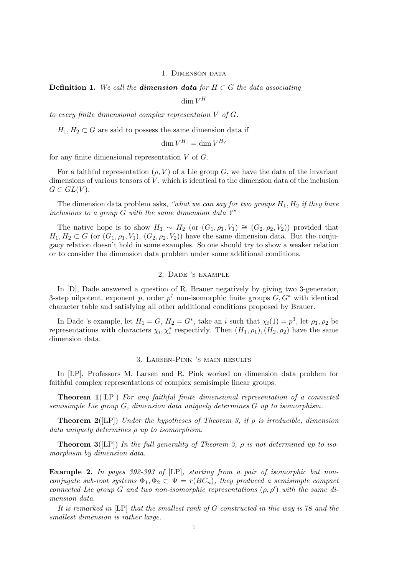#### 1. DIMENSON DATA

# **Definition 1.** We call the **dimension data** for  $H \subset G$  the data associating  $\dim V^H$

to every finite dimensional complex representaion V of G.

 $H_1, H_2 \subset G$  are said to possess the same dimension data if

$$
\dim V^{H_1} = \dim V^{H_2}
$$

for any finite dimensional representation  $V$  of  $G$ .

For a faithful representation  $(\rho, V)$  of a Lie group G, we have the data of the invariant dimensions of various tensors of  $V$ , which is identical to the dimension data of the inclusion  $G \subset GL(V)$ .

The dimension data problem asks, "what we can say for two groups  $H_1, H_2$  if they have inclusions to a group  $G$  with the same dimension data ?"

The native hope is to show  $H_1 \sim H_2$  (or  $(G_1, \rho_1, V_1) \cong (G_2, \rho_2, V_2)$ ) provided that  $H_1, H_2 \subset G$  (or  $(G_1, \rho_1, V_1), (G_2, \rho_2, V_2)$ ) have the same dimension data. But the conjugacy relation doesn't hold in some examples. So one should try to show a weaker relation or to consider the dimension data problem under some additional conditions.

# 2. Dade 's example

In [D], Dade answered a question of R. Brauer negatively by giving two 3-generator, 3-step nilpotent, exponent p, order  $p^7$  non-isomorphic finite groups  $G, G^*$  with identical character table and satisfying all other additional conditions proposed by Brauer.

In Dade 's example, let  $H_1 = G$ ,  $H_2 = G^*$ , take an i such that  $\chi_i(1) = p^3$ , let  $\rho_1, \rho_2$  be representations with characters  $\chi_i, \chi_i^*$  respectivly. Then  $(H_1, \rho_1), (H_2, \rho_2)$  have the same dimension data.

#### 3. Larsen-Pink 's main results

In [LP], Professors M. Larsen and R. Pink worked on dimension data problem for faithful complex representations of complex semisimple linear groups.

**Theorem 1**([LP]) For any faithful finite dimensional representation of a connected semisimple Lie group G, dimension data uniquely determines G up to isomorphism.

**Theorem 2**([LP]) Under the hypotheses of Theorem 3, if  $\rho$  is irreducible, dimension data uniquely determines ρ up to isomorphism.

**Theorem 3**([LP]) In the full generality of Theorem 3,  $\rho$  is not determined up to isomorphism by dimension data.

Example 2. In pages 392-393 of [LP], starting from a pair of isomorphic but nonconjugate sub-root systems  $\Phi_1, \Phi_2 \subset \Psi = r(BC_n)$ , they produced a semisimple compact connected Lie group G and two non-isomorphic representations  $(\rho, \rho')$  with the same dimension data.

It is remarked in [LP] that the smallest rank of G constructed in this way is 78 and the smallest dimension is rather large.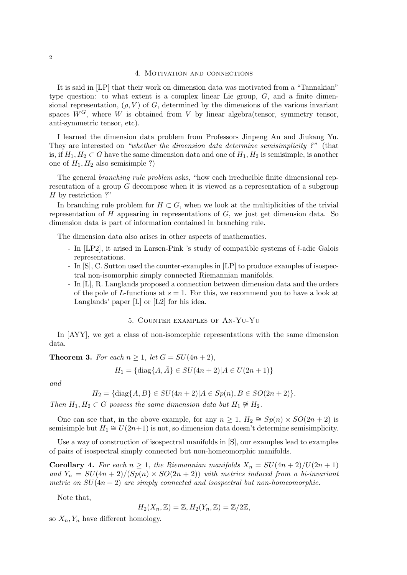## 4. Motivation and connections

It is said in [LP] that their work on dimension data was motivated from a "Tannakian" type question: to what extent is a complex linear Lie group,  $G$ , and a finite dimensional representation,  $(\rho, V)$  of G, determined by the dimensions of the various invariant spaces  $W^G$ , where W is obtained from V by linear algebra(tensor, symmetry tensor, anti-symmetric tensor, etc).

I learned the dimension data problem from Professors Jinpeng An and Jiukang Yu. They are interested on "whether the dimension data determine semisimplicity ?" (that is, if  $H_1, H_2 \subset G$  have the same dimension data and one of  $H_1, H_2$  is semisimple, is another one of  $H_1, H_2$  also semisimple ?)

The general *branching rule problem* asks, "how each irreducible finite dimensional representation of a group G decompose when it is viewed as a representation of a subgroup H by restriction ?"

In branching rule problem for  $H \subset G$ , when we look at the multiplicities of the trivial representation of  $H$  appearing in representations of  $G$ , we just get dimension data. So dimension data is part of information contained in branching rule.

The dimension data also arises in other aspects of mathematics.

- In [LP2], it arised in Larsen-Pink 's study of compatible systems of l-adic Galois representations.
- In [S], C. Sutton used the counter-examples in [LP] to produce examples of isospectral non-isomorphic simply connected Riemannian manifolds.
- In [L], R. Langlands proposed a connection between dimension data and the orders of the pole of L-functions at  $s = 1$ . For this, we recommend you to have a look at Langlands' paper [L] or [L2] for his idea.

## 5. Counter examples of An-Yu-Yu

In [AYY], we get a class of non-isomorphic representations with the same dimension data.

**Theorem 3.** For each  $n \geq 1$ , let  $G = SU(4n + 2)$ ,

$$
H_1 = \{ \text{diag}\{A, \bar{A}\} \in SU(4n+2) | A \in U(2n+1) \}
$$

and

$$
H_2 = \{ \text{diag}\{A, B\} \in SU(4n+2) | A \in Sp(n), B \in SO(2n+2) \}.
$$

Then  $H_1, H_2 \subset G$  possess the same dimension data but  $H_1 \not\cong H_2$ .

One can see that, in the above example, for any  $n \geq 1$ ,  $H_2 \cong Sp(n) \times SO(2n + 2)$  is semisimple but  $H_1 \cong U(2n+1)$  is not, so dimension data doesn't determine semisimplicity.

Use a way of construction of isospectral manifolds in [S], our examples lead to examples of pairs of isospectral simply connected but non-homeomorphic manifolds.

**Corollary 4.** For each  $n \geq 1$ , the Riemannian manifolds  $X_n = SU(4n+2)/U(2n+1)$ and  $Y_n = SU(4n + 2)/(Sp(n) \times SO(2n + 2))$  with metrics induced from a bi-invariant metric on  $SU(4n+2)$  are simply connected and isospectral but non-homeomorphic.

Note that,

$$
H_2(X_n, \mathbb{Z}) = \mathbb{Z}, H_2(Y_n, \mathbb{Z}) = \mathbb{Z}/2\mathbb{Z},
$$

so  $X_n, Y_n$  have different homology.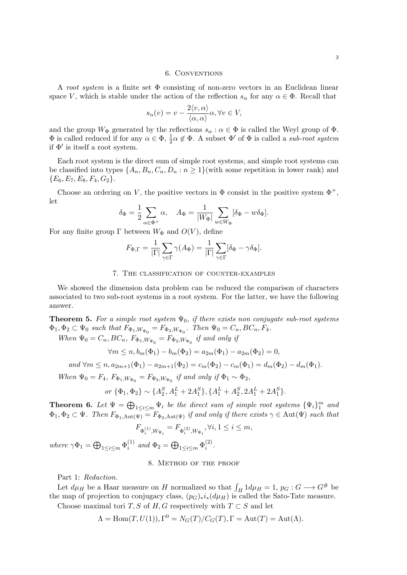## 6. Conventions

A root system is a finite set  $\Phi$  consisting of non-zero vectors in an Euclidean linear space V, which is stable under the action of the reflection  $s_{\alpha}$  for any  $\alpha \in \Phi$ . Recall that

$$
s_{\alpha}(v) = v - \frac{2\langle v, \alpha \rangle}{\langle \alpha, \alpha \rangle} \alpha, \forall v \in V,
$$

and the group  $W_{\Phi}$  generated by the reflections  $s_{\alpha} : \alpha \in \Phi$  is called the Weyl group of  $\Phi$ .  $\Phi$  is called reduced if for any  $\alpha \in \Phi$ ,  $\frac{1}{2}\alpha \notin \Phi$ . A subset  $\Phi'$  of  $\Phi$  is called a *sub-root system* if  $\Phi'$  is itself a root system.

Each root system is the direct sum of simple root systems, and simple root systems can be classified into types  $\{A_n, B_n, C_n, D_n : n \geq 1\}$  (with some repetition in lower rank) and  ${E_6, E_7, E_8, F_4, G_2}.$ 

Choose an ordering on V, the positive vectors in  $\Phi$  consist in the positive system  $\Phi^+$ , let

$$
\delta_{\Phi} = \frac{1}{2} \sum_{\alpha \in \Phi^+} \alpha, \quad A_{\Phi} = \frac{1}{|W_{\Phi}|} \sum_{w \in W_{\Phi}} [\delta_{\Phi} - w \delta_{\Phi}].
$$

For any finite group  $\Gamma$  between  $W_{\Phi}$  and  $O(V)$ , define

$$
F_{\Phi,\Gamma} = \frac{1}{|\Gamma|} \sum_{\gamma \in \Gamma} \gamma(A_{\Phi}) = \frac{1}{|\Gamma|} \sum_{\gamma \in \Gamma} [\delta_{\Phi} - \gamma \delta_{\Phi}].
$$

## 7. The classification of counter-examples

We showed the dimension data problem can be reduced the comparison of characters associated to two sub-root systems in a root system. For the latter, we have the following answer.

**Theorem 5.** For a simple root system  $\Psi_0$ , if there exists non conjugate sub-root systems  $\Phi_1, \Phi_2 \subset \Psi_0$  such that  $F_{\Phi_1, W_{\Psi_0}} = F_{\Phi_2, W_{\Psi_0}}$ . Then  $\Psi_0 = C_n, BC_n, F_4$ .

When  $\Psi_0 = C_n, BC_n, F_{\Phi_1, W_{\Psi_0}} = F_{\Phi_2, W_{\Psi_0}}$  if and only if

$$
\forall m \le n, b_m(\Phi_1) - b_m(\Phi_2) = a_{2m}(\Phi_1) - a_{2m}(\Phi_2) = 0,
$$

and 
$$
\forall m \leq n, a_{2m+1}(\Phi_1) - a_{2m+1}(\Phi_2) = c_m(\Phi_2) - c_m(\Phi_1) = d_m(\Phi_2) - d_m(\Phi_1)
$$
.

When  $\Psi_0 = F_4$ ,  $F_{\Phi_1, W_{\Psi_0}} = F_{\Phi_2, W_{\Psi_0}}$  if and only if  $\Phi_1 \sim \Phi_2$ ,

or 
$$
\{\Phi_1, \Phi_2\} \sim \{A_2^S, A_1^L + 2A_1^S\}, \{A_1^L + A_2^S, 2A_1^L + 2A_1^S\}.
$$

**Theorem 6.** Let  $\Psi = \bigoplus_{1 \leq i \leq m} \Psi_i$  be the direct sum of simple root systems  $\{\Psi_i\}_{1}^{m}$  and  $\Phi_1, \Phi_2 \subset \Psi$ . Then  $F_{\Phi_1, \text{Aut}(\Psi)} = F_{\Phi_2, \text{Aut}(\Psi)}$  if and only if there exists  $\gamma \in \text{Aut}(\Psi)$  such that

$$
F_{\Phi_i^{(1)}, W_{\Psi_i}} = F_{\Phi_i^{(2)}, W_{\Psi_i}}, \forall i, 1 \leq i \leq m,
$$

where  $\gamma \Phi_1 = \bigoplus_{1 \leq i \leq m} \Phi_i^{(1)}$  $i^{(1)}$  and  $\Phi_2 = \bigoplus_{1 \leq i \leq m} \Phi_i^{(2)}$  $\binom{z}{i}$ .

## 8. Method of the proof

Part 1: Reduction.

Let  $d\mu$ <sup>H</sup> be a Haar measure on H normalized so that  $\int_H 1 d\mu$ <sub>H</sub> = 1,  $p_G : G \longrightarrow G^{\#}$  be the map of projection to conjugacy class,  $(p_G)_*i_*(d\mu_H)$  is called the Sato-Tate measure.

Choose maximal tori T, S of H, G respectively with  $T \subset S$  and let

$$
\Lambda = \text{Hom}(T, U(1)), \Gamma^0 = N_G(T)/C_G(T), \Gamma = \text{Aut}(T) = \text{Aut}(\Lambda).
$$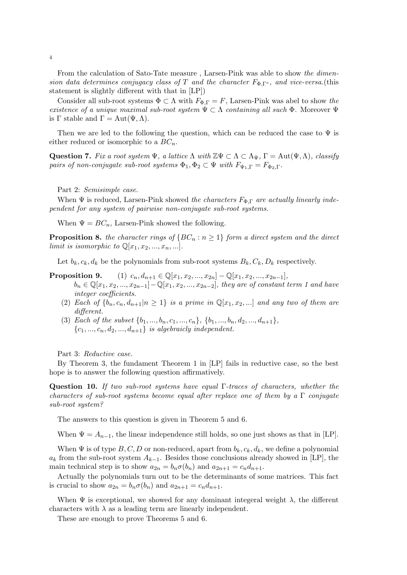From the calculation of Sato-Tate measure , Larsen-Pink was able to show the dimension data determines conjugacy class of T and the character  $F_{\Phi,\Gamma^{\circ}}$ , and vice-versa.(this statement is slightly different with that in [LP])

Consider all sub-root systems  $\Phi \subset \Lambda$  with  $F_{\Phi,\Gamma} = F$ , Larsen-Pink was abel to show the existence of a unique maximal sub-root system  $\Psi \subset \Lambda$  containing all such  $\Phi$ . Moreover  $\Psi$ is  $\Gamma$  stable and  $\Gamma = \text{Aut}(\Psi, \Lambda)$ .

Then we are led to the following the question, which can be reduced the case to  $\Psi$  is either reduced or isomorphic to a  $BC_n$ .

Question 7. Fix a root system  $\Psi$ , a lattice  $\Lambda$  with  $\mathbb{Z}\Psi \subset \Lambda \subset \Lambda_{\Psi}$ ,  $\Gamma = \text{Aut}(\Psi,\Lambda)$ , classify pairs of non-conjugate sub-root systems  $\Phi_1, \Phi_2 \subset \Psi$  with  $F_{\Psi_1,\Gamma} = F_{\Phi_2,\Gamma}$ .

Part 2: Semisimple case.

When  $\Psi$  is reduced, Larsen-Pink showed the characters  $F_{\Phi,\Gamma}$  are actually linearly independent for any system of pairwise non-conjugate sub-root systems.

When  $\Psi = BC_n$ , Larsen-Pink showed the following.

**Proposition 8.** the character rings of  ${BC_n : n \ge 1}$  form a direct system and the direct limit is isomorphic to  $\mathbb{Q}[x_1, x_2, ..., x_n, ...].$ 

Let  $b_k, c_k, d_k$  be the polynomials from sub-root systems  $B_k, C_k, D_k$  respectively.

- **Proposition 9.** (1)  $c_n, d_{n+1} \in \mathbb{Q}[x_1, x_2, ..., x_{2n}] \mathbb{Q}[x_1, x_2, ..., x_{2n-1}],$  $b_n \in \mathbb{Q}[x_1, x_2, ..., x_{2n-1}] - \mathbb{Q}[x_1, x_2, ..., x_{2n-2}]$ , they are of constant term 1 and have integer coefficients.
	- (2) Each of  $\{b_n, c_n, d_{n+1}|n \geq 1\}$  is a prime in  $\mathbb{Q}[x_1, x_2,...]$  and any two of them are different.
	- (3) Each of the subset  $\{b_1, ..., b_n, c_1, ..., c_n\}$ ,  $\{b_1, ..., b_n, d_2, ..., d_{n+1}\}$ ,  ${c_1, ..., c_n, d_2, ..., d_{n+1}}$  is algebraicly independent.

Part 3: Reductive case.

By Theorem 3, the fundament Theorem 1 in [LP] fails in reductive case, so the best hope is to answer the following question affirmatively.

Question 10. If two sub-root systems have equal  $\Gamma$ -traces of characters, whether the characters of sub-root systems become equal after replace one of them by a  $\Gamma$  conjugate sub-root system?

The answers to this question is given in Theorem 5 and 6.

When  $\Psi = A_{n-1}$ , the linear independence still holds, so one just shows as that in [LP].

When  $\Psi$  is of type  $B, C, D$  or non-reduced, apart from  $b_k, c_k, d_k$ , we define a polynomial  $a_k$  from the sub-root system  $A_{k-1}$ . Besides those conclusions already showed in [LP], the main technical step is to show  $a_{2n} = b_n \sigma(b_n)$  and  $a_{2n+1} = c_n d_{n+1}$ .

Actually the polynomials turn out to be the determinants of some matrices. This fact is crucial to show  $a_{2n} = b_n \sigma(b_n)$  and  $a_{2n+1} = c_n d_{n+1}$ .

When  $\Psi$  is exceptional, we showed for any dominant integeral weight  $\lambda$ , the different characters with  $\lambda$  as a leading term are linearly independent.

These are enough to prove Theorems 5 and 6.